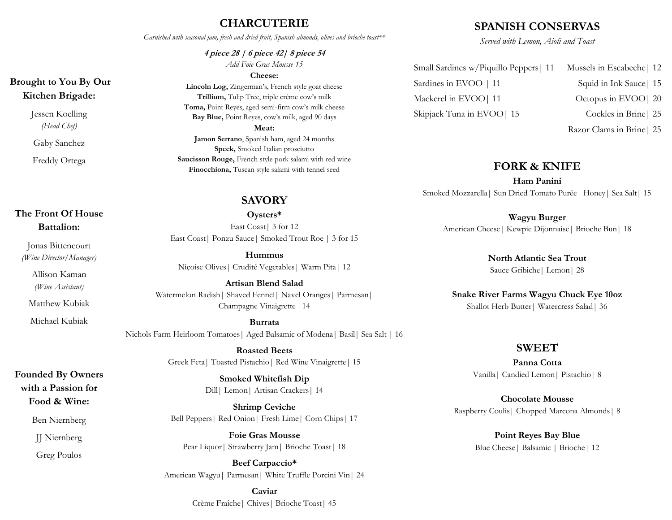# **CHARCUTERIE**

*Garnished with seasonal jam, fresh and dried fruit, Spanish almonds, olives and brioche toast\*\** 

**4 piece 28 | 6 piece 42| 8 piece 54** *Add Foie Gras Mousse 15*

#### **Cheese:**

**Lincoln Log,** Zingerman's, French style goat cheese **Trillium,** Tulip Tree, triple crème cow's milk **Toma,** Point Reyes, aged semi-firm cow's milk cheese **Bay Blue,** Point Reyes, cow's milk, aged 90 days **Meat: Jamon Serrano**, Spanish ham, aged 24 months **Speck,** Smoked Italian prosciutto **Saucisson Rouge,** French style pork salami with red wine **Finocchiona,** Tuscan style salami with fennel seed

# **SAVORY**

**Oysters\*** East Coast| 3 for 12 East Coast| Ponzu Sauce| Smoked Trout Roe | 3 for 15

**Hummus** Niçoise Olives| Crudité Vegetables| Warm Pita| 12

**Artisan Blend Salad** Watermelon Radish| Shaved Fennel| Navel Oranges| Parmesan| Champagne Vinaigrette |14

**Burrata** Nichols Farm Heirloom Tomatoes| Aged Balsamic of Modena| Basil| Sea Salt | 16

> **Roasted Beets**  Greek Feta| Toasted Pistachio| Red Wine Vinaigrette| 15

> > **Smoked Whitefish Dip** Dill| Lemon| Artisan Crackers| 14

**Shrimp Ceviche**  Bell Peppers| Red Onion| Fresh Lime| Corn Chips| 17

**Foie Gras Mousse** Pear Liquor | Strawberry Jam | Brioche Toast | 18

**Beef Carpaccio\*** American Wagyu| Parmesan| White Truffle Porcini Vin| 24

> **Caviar** Crème Fraîche| Chives| Brioche Toast| 45

## **SPANISH CONSERVAS**

*Served with Lemon, Aioli and Toast*

| Small Sardines w/Piquillo Peppers   11 | Mussels in Escabeche   12 |
|----------------------------------------|---------------------------|
| Sardines in EVOO   11                  | Squid in Ink Sauce   15   |
| Mackerel in EVOO   11                  | Octopus in EVOO   20      |
| Skipjack Tuna in EVOO   15             | Cockles in Brine   25     |
|                                        |                           |

Razor Clams in Brine| 25

### **FORK & KNIFE**

**Ham Panini** Smoked Mozzarella| Sun Dried Tomato Purée| Honey| Sea Salt| 15

### **Wagyu Burger**

American Cheese| Kewpie Dijonnaise| Brioche Bun| 18

**North Atlantic Sea Trout** Sauce Gribiche| Lemon| 28

**Snake River Farms Wagyu Chuck Eye 10oz** Shallot Herb Butter| Watercress Salad| 36

#### **SWEET**

**Panna Cotta** Vanilla| Candied Lemon| Pistachio| 8

**Chocolate Mousse** Raspberry Coulis| Chopped Marcona Almonds| 8

> **Point Reyes Bay Blue** Blue Cheese| Balsamic | Brioche| 12

# **Brought to You By Our Kitchen Brigade:**

Jessen Koelling *(Head Chef)*

Gaby Sanchez

Freddy Ortega

# **The Front Of House Battalion:**

Jonas Bittencourt *(Wine Director/Manager)*

> Allison Kaman *(Wine Assistant)*

Matthew Kubiak

Michael Kubiak

**Founded By Owners with a Passion for Food & Wine:**

Ben Niernberg

JJ Niernberg

Greg Poulos